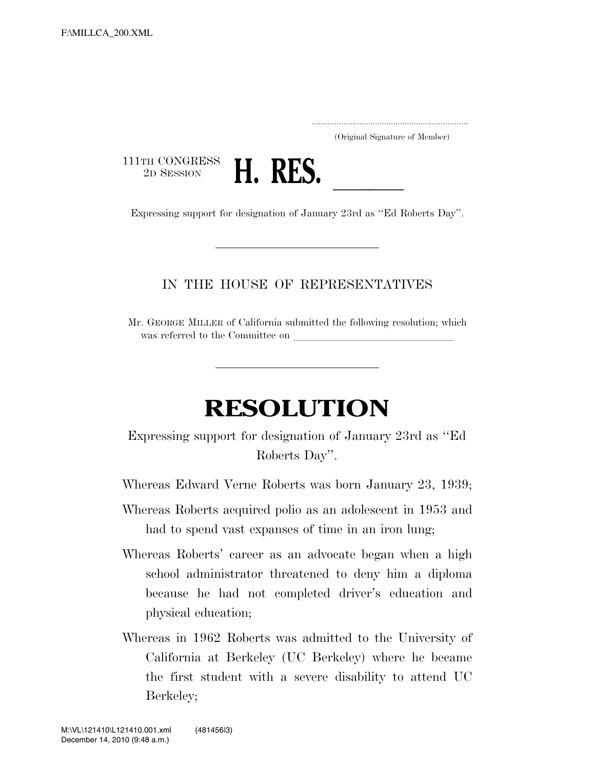..................................................................... (Original Signature of Member)

111TH CONGRESS<br>2D SESSION



2D SESSION **H. RES.**<br>Expressing support for designation of January 23rd as "Ed Roberts Day".

## IN THE HOUSE OF REPRESENTATIVES

Mr. GEORGE MILLER of California submitted the following resolution; which was referred to the Committee on

## **RESOLUTION**

Expressing support for designation of January 23rd as ''Ed Roberts Day''.

Whereas Edward Verne Roberts was born January 23, 1939;

- Whereas Roberts acquired polio as an adolescent in 1953 and had to spend vast expanses of time in an iron lung;
- Whereas Roberts' career as an advocate began when a high school administrator threatened to deny him a diploma because he had not completed driver's education and physical education;
- Whereas in 1962 Roberts was admitted to the University of California at Berkeley (UC Berkeley) where he became the first student with a severe disability to attend UC Berkeley;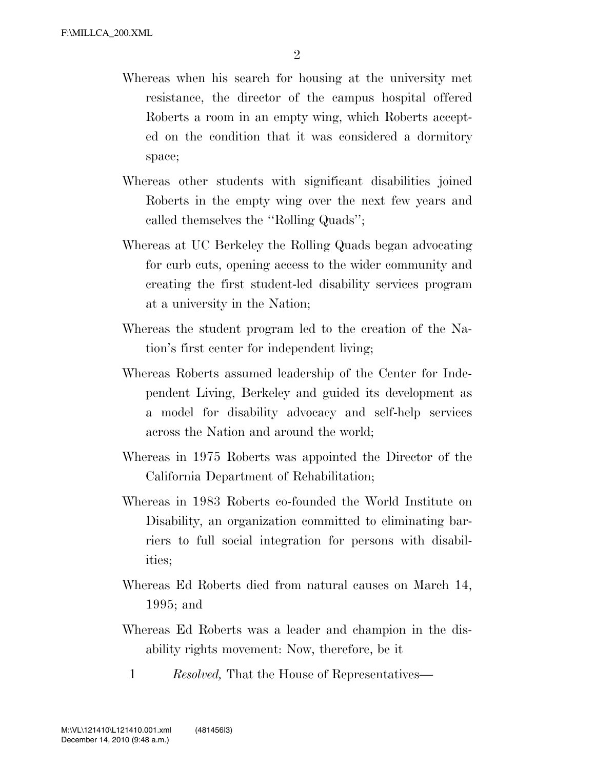- Whereas when his search for housing at the university met resistance, the director of the campus hospital offered Roberts a room in an empty wing, which Roberts accepted on the condition that it was considered a dormitory space;
- Whereas other students with significant disabilities joined Roberts in the empty wing over the next few years and called themselves the ''Rolling Quads'';
- Whereas at UC Berkeley the Rolling Quads began advocating for curb cuts, opening access to the wider community and creating the first student-led disability services program at a university in the Nation;
- Whereas the student program led to the creation of the Nation's first center for independent living;
- Whereas Roberts assumed leadership of the Center for Independent Living, Berkeley and guided its development as a model for disability advocacy and self-help services across the Nation and around the world;
- Whereas in 1975 Roberts was appointed the Director of the California Department of Rehabilitation;
- Whereas in 1983 Roberts co-founded the World Institute on Disability, an organization committed to eliminating barriers to full social integration for persons with disabilities;
- Whereas Ed Roberts died from natural causes on March 14, 1995; and
- Whereas Ed Roberts was a leader and champion in the disability rights movement: Now, therefore, be it
	- 1 *Resolved,* That the House of Representatives—